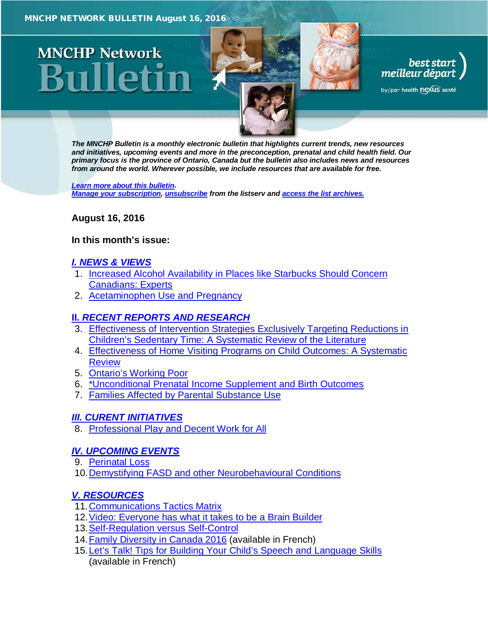





by/par health nexus santé

*The MNCHP Bulletin is a monthly electronic bulletin that highlights current trends, new resources and initiatives, upcoming events and more in the preconception, prenatal and child health field. Our primary focus is the province of Ontario, Canada but the bulletin also includes news and resources from around the world. Wherever possible, we include resources that are available for free.* 

*[Learn more about this bulletin.](#page-12-0) [Manage your subscription,](http://en.beststart.org/services/information-exchange) [unsubscribe](mailto:mnchp@healthnexus.ca?subject=Unsubscribe) from the listserv and [access the list archives.](http://en.beststart.org/services/information-exchange)*

<span id="page-0-0"></span>**August 16, 2016**

### **In this month's issue:**

## *[I. NEWS & VIEWS](#page-1-0)*

- 1. [Increased Alcohol Availability in Places like Starbucks Should Concern](#page-1-1)  [Canadians: Experts](#page-1-1)
- 2. [Acetaminophen Use and Pregnancy](#page-1-2)

# **II.** *[RECENT REPORTS AND RESEARCH](#page-2-0)*

- 3. [Effectiveness of Intervention Strategies Exclusively Targeting Reductions in](#page-2-1)  [Children's Sedentary Time: A Systematic Review of the Literature](#page-2-1)
- 4. [Effectiveness of Home Visiting Programs on Child Outcomes: A Systematic](#page-3-0)  [Review](#page-3-0)
- 5. [Ontario's Working Poor](#page-5-0)
- 6. [\\*Unconditional Prenatal Income Supplement and Birth Outcomes](#page-5-1)
- 7. [Families Affected by Parental Substance Use](#page-6-0)

# *[III. CURENT INITIATIVES](#page-7-0)*

8. [Professional Play and Decent Work for All](#page-7-1)

# *[IV. UPCOMING EVENTS](#page-8-0)*

- 9. [Perinatal Loss](#page-9-0)
- 10. Demystifying FASD and other Neurobehavioural Conditions

# *[V. RESOURCES](#page-9-1)*

- 11[.Communications Tactics Matrix](#page-9-2)
- 12[.Video: Everyone has what it takes to be a Brain Builder](#page-9-3)
- 13[.Self-Regulation versus Self-Control](#page-10-0)
- 14[.Family Diversity in Canada 2016](#page-10-1) (available in French)
- 15. Let's Talk! Tips for Building Your Child's Speech and Language Skills (available in French)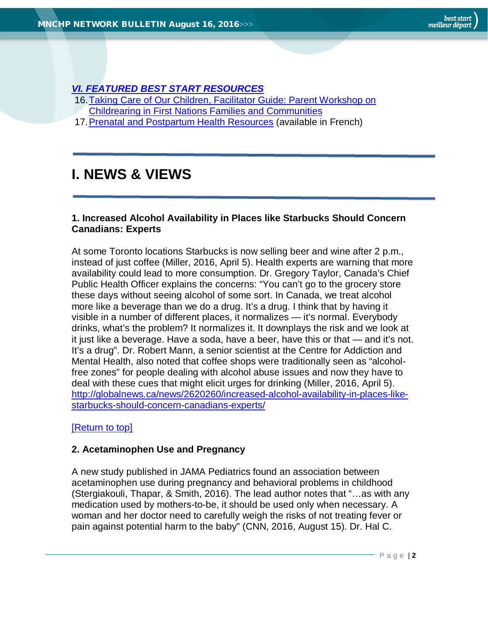# *[VI. FEATURED BEST START RESOURCES](#page-11-1)*

- [16.Taking Care of Our Children, Facilitator Guide: Parent Workshop on](#page-11-2) 
	- [Childrearing in First Nations Families and Communities](#page-11-2)
- 17[.Prenatal and Postpartum Health Resources](#page-12-1) (available in French)

# <span id="page-1-0"></span>**I. NEWS & VIEWS**

## <span id="page-1-1"></span>**1. Increased Alcohol Availability in Places like Starbucks Should Concern Canadians: Experts**

At some Toronto locations Starbucks is now selling beer and wine after 2 p.m., instead of just coffee (Miller, 2016, April 5). Health experts are warning that more availability could lead to more consumption. Dr. Gregory Taylor, Canada's Chief Public Health Officer explains the concerns: "You can't go to the grocery store these days without seeing alcohol of some sort. In Canada, we treat alcohol more like a beverage than we do a drug. It's a drug. I think that by having it visible in a number of different places, it normalizes — it's normal. Everybody drinks, what's the problem? It normalizes it. It downplays the risk and we look at it just like a beverage. Have a soda, have a beer, have this or that — and it's not. It's a drug". Dr. Robert Mann, a senior scientist at the Centre for Addiction and Mental Health, also noted that coffee shops were traditionally seen as "alcoholfree zones" for people dealing with alcohol abuse issues and now they have to deal with these cues that might elicit urges for drinking (Miller, 2016, April 5). [http://globalnews.ca/news/2620260/increased-alcohol-availability-in-places-like](http://globalnews.ca/news/2620260/increased-alcohol-availability-in-places-like-starbucks-should-concern-canadians-experts/)[starbucks-should-concern-canadians-experts/](http://globalnews.ca/news/2620260/increased-alcohol-availability-in-places-like-starbucks-should-concern-canadians-experts/)

## [\[Return to top\]](#page-0-0)

## <span id="page-1-2"></span>**2. Acetaminophen Use and Pregnancy**

A new study published in JAMA Pediatrics found an association between acetaminophen use during pregnancy and behavioral problems in childhood (Stergiakouli, Thapar, & Smith, 2016). The lead author notes that "…as with any medication used by mothers-to-be, it should be used only when necessary. A woman and her doctor need to carefully weigh the risks of not treating fever or pain against potential harm to the baby" (CNN, 2016, August 15). Dr. Hal C.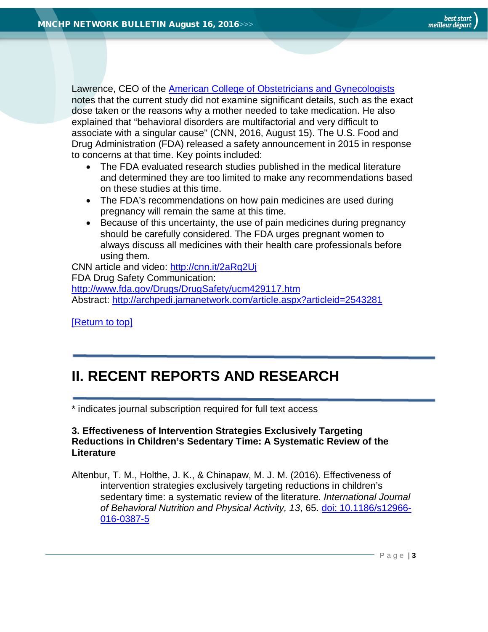Lawrence, CEO of the [American College of Obstetricians and Gynecologists](http://www.acog.org/) notes that the current study did not examine significant details, such as the exact dose taken or the reasons why a mother needed to take medication. He also explained that "behavioral disorders are multifactorial and very difficult to associate with a singular cause" (CNN, 2016, August 15). The U.S. Food and Drug Administration (FDA) released a safety announcement in 2015 in response to concerns at that time. Key points included:

- The FDA evaluated research studies published in the medical literature and determined they are too limited to make any recommendations based on these studies at this time.
- The FDA's recommendations on how pain medicines are used during pregnancy will remain the same at this time.
- Because of this uncertainty, the use of pain medicines during pregnancy should be carefully considered. The FDA urges pregnant women to always discuss all medicines with their health care professionals before using them.

CNN article and video:<http://cnn.it/2aRq2Uj> FDA Drug Safety Communication: <http://www.fda.gov/Drugs/DrugSafety/ucm429117.htm> Abstract:<http://archpedi.jamanetwork.com/article.aspx?articleid=2543281>

[\[Return to top\]](#page-0-0)

# <span id="page-2-0"></span>**II. RECENT REPORTS AND RESEARCH**

\* indicates journal subscription required for full text access

## <span id="page-2-1"></span>**3. Effectiveness of Intervention Strategies Exclusively Targeting Reductions in Children's Sedentary Time: A Systematic Review of the Literature**

Altenbur, T. M., Holthe, J. K., & Chinapaw, M. J. M. (2016). Effectiveness of intervention strategies exclusively targeting reductions in children's sedentary time: a systematic review of the literature. *International Journal of Behavioral Nutrition and Physical Activity, 13*, 65. [doi: 10.1186/s12966-](http://ijbnpa.biomedcentral.com/articles/10.1186/s12966-016-0387-5) [016-0387-5](http://ijbnpa.biomedcentral.com/articles/10.1186/s12966-016-0387-5)

Page | **3**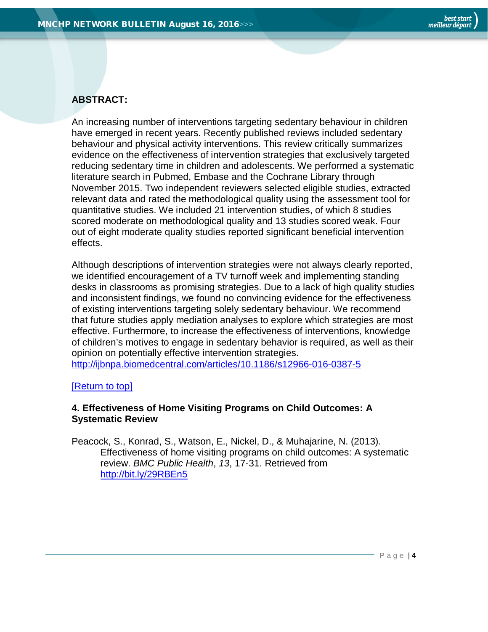## **ABSTRACT:**

An increasing number of interventions targeting sedentary behaviour in children have emerged in recent years. Recently published reviews included sedentary behaviour and physical activity interventions. This review critically summarizes evidence on the effectiveness of intervention strategies that exclusively targeted reducing sedentary time in children and adolescents. We performed a systematic literature search in Pubmed, Embase and the Cochrane Library through November 2015. Two independent reviewers selected eligible studies, extracted relevant data and rated the methodological quality using the assessment tool for quantitative studies. We included 21 intervention studies, of which 8 studies scored moderate on methodological quality and 13 studies scored weak. Four out of eight moderate quality studies reported significant beneficial intervention effects.

Although descriptions of intervention strategies were not always clearly reported, we identified encouragement of a TV turnoff week and implementing standing desks in classrooms as promising strategies. Due to a lack of high quality studies and inconsistent findings, we found no convincing evidence for the effectiveness of existing interventions targeting solely sedentary behaviour. We recommend that future studies apply mediation analyses to explore which strategies are most effective. Furthermore, to increase the effectiveness of interventions, knowledge of children's motives to engage in sedentary behavior is required, as well as their opinion on potentially effective intervention strategies.

<http://ijbnpa.biomedcentral.com/articles/10.1186/s12966-016-0387-5>

#### [\[Return to top\]](#page-0-0)

### <span id="page-3-0"></span>**4. Effectiveness of Home Visiting Programs on Child Outcomes: A Systematic Review**

Peacock, S., Konrad, S., Watson, E., Nickel, D., & Muhajarine, N. (2013). Effectiveness of home visiting programs on child outcomes: A systematic review. *BMC Public Health*, *13*, 17-31. Retrieved from <http://bit.ly/29RBEn5>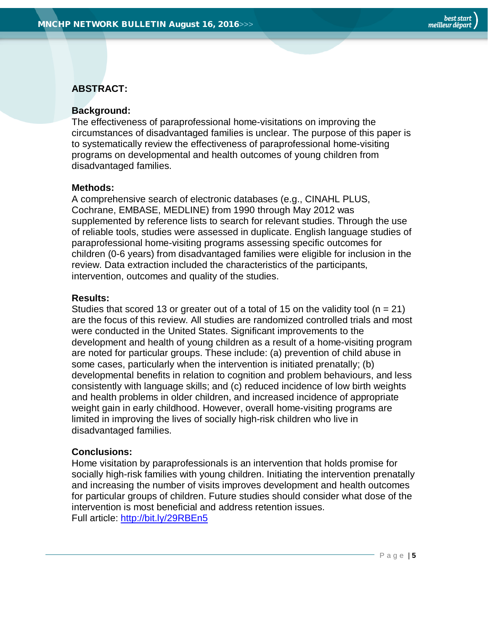## **ABSTRACT:**

### **Background:**

The effectiveness of paraprofessional home-visitations on improving the circumstances of disadvantaged families is unclear. The purpose of this paper is to systematically review the effectiveness of paraprofessional home-visiting programs on developmental and health outcomes of young children from disadvantaged families.

#### **Methods:**

A comprehensive search of electronic databases (e.g., CINAHL PLUS, Cochrane, EMBASE, MEDLINE) from 1990 through May 2012 was supplemented by reference lists to search for relevant studies. Through the use of reliable tools, studies were assessed in duplicate. English language studies of paraprofessional home-visiting programs assessing specific outcomes for children (0-6 years) from disadvantaged families were eligible for inclusion in the review. Data extraction included the characteristics of the participants, intervention, outcomes and quality of the studies.

#### **Results:**

Studies that scored 13 or greater out of a total of 15 on the validity tool ( $n = 21$ ) are the focus of this review. All studies are randomized controlled trials and most were conducted in the United States. Significant improvements to the development and health of young children as a result of a home-visiting program are noted for particular groups. These include: (a) prevention of child abuse in some cases, particularly when the intervention is initiated prenatally; (b) developmental benefits in relation to cognition and problem behaviours, and less consistently with language skills; and (c) reduced incidence of low birth weights and health problems in older children, and increased incidence of appropriate weight gain in early childhood. However, overall home-visiting programs are limited in improving the lives of socially high-risk children who live in disadvantaged families.

### **Conclusions:**

Home visitation by paraprofessionals is an intervention that holds promise for socially high-risk families with young children. Initiating the intervention prenatally and increasing the number of visits improves development and health outcomes for particular groups of children. Future studies should consider what dose of the intervention is most beneficial and address retention issues. Full article:<http://bit.ly/29RBEn5>

Page | **5**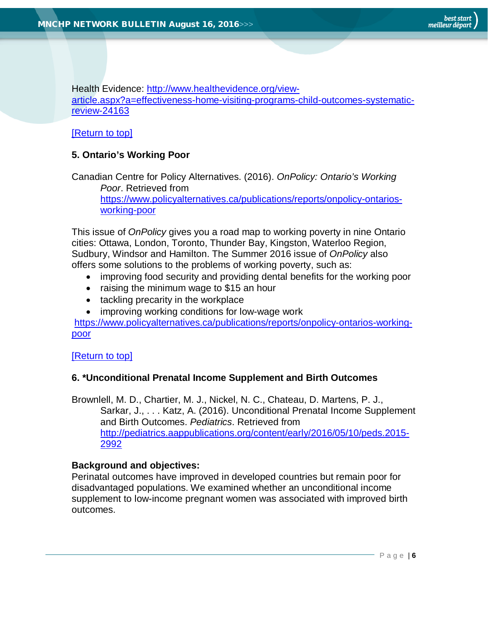Health Evidence: [http://www.healthevidence.org/view](http://www.healthevidence.org/view-article.aspx?a=effectiveness-home-visiting-programs-child-outcomes-systematic-review-24163)[article.aspx?a=effectiveness-home-visiting-programs-child-outcomes-systematic](http://www.healthevidence.org/view-article.aspx?a=effectiveness-home-visiting-programs-child-outcomes-systematic-review-24163)[review-24163](http://www.healthevidence.org/view-article.aspx?a=effectiveness-home-visiting-programs-child-outcomes-systematic-review-24163)

### [\[Return to top\]](#page-0-0)

## <span id="page-5-0"></span>**5. Ontario's Working Poor**

Canadian Centre for Policy Alternatives. (2016). *OnPolicy: Ontario's Working Poor*. Retrieved from [https://www.policyalternatives.ca/publications/reports/onpolicy-ontarios](https://www.policyalternatives.ca/publications/reports/onpolicy-ontarios-working-poor)[working-poor](https://www.policyalternatives.ca/publications/reports/onpolicy-ontarios-working-poor)

This issue of *OnPolicy* gives you a road map to working poverty in nine Ontario cities: Ottawa, London, Toronto, Thunder Bay, Kingston, Waterloo Region, Sudbury, Windsor and Hamilton. The Summer 2016 issue of *OnPolicy* also offers some solutions to the problems of working poverty, such as:

- improving food security and providing dental benefits for the working poor
- raising the minimum wage to \$15 an hour
- tackling precarity in the workplace
- improving working conditions for low-wage work

[https://www.policyalternatives.ca/publications/reports/onpolicy-ontarios-working](https://www.policyalternatives.ca/publications/reports/onpolicy-ontarios-working-poor)[poor](https://www.policyalternatives.ca/publications/reports/onpolicy-ontarios-working-poor)

### [\[Return to top\]](#page-0-0)

## <span id="page-5-1"></span>**6. \*Unconditional Prenatal Income Supplement and Birth Outcomes**

Brownlell, M. D., Chartier, M. J., Nickel, N. C., Chateau, D. Martens, P. J., Sarkar, J., . . . Katz, A. (2016). Unconditional Prenatal Income Supplement and Birth Outcomes. *Pediatrics*. Retrieved from [http://pediatrics.aappublications.org/content/early/2016/05/10/peds.2015-](http://pediatrics.aappublications.org/content/early/2016/05/10/peds.2015-2992) [2992](http://pediatrics.aappublications.org/content/early/2016/05/10/peds.2015-2992)

## **Background and objectives:**

Perinatal outcomes have improved in developed countries but remain poor for disadvantaged populations. We examined whether an unconditional income supplement to low-income pregnant women was associated with improved birth outcomes.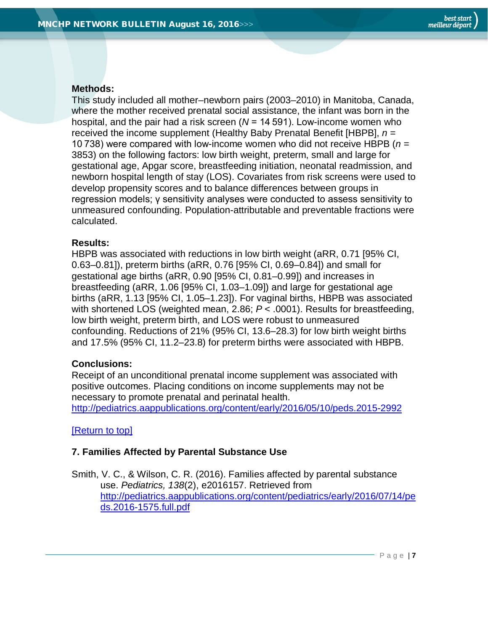# **Methods:**

This study included all mother–newborn pairs (2003–2010) in Manitoba, Canada, where the mother received prenatal social assistance, the infant was born in the hospital, and the pair had a risk screen (*N* = 14 591). Low-income women who received the income supplement (Healthy Baby Prenatal Benefit [HBPB], *n* = 10 738) were compared with low-income women who did not receive HBPB (*n* = 3853) on the following factors: low birth weight, preterm, small and large for gestational age, Apgar score, breastfeeding initiation, neonatal readmission, and newborn hospital length of stay (LOS). Covariates from risk screens were used to develop propensity scores and to balance differences between groups in regression models; γ sensitivity analyses were conducted to assess sensitivity to unmeasured confounding. Population-attributable and preventable fractions were calculated.

## **Results:**

HBPB was associated with reductions in low birth weight (aRR, 0.71 [95% CI, 0.63–0.81]), preterm births (aRR, 0.76 [95% CI, 0.69–0.84]) and small for gestational age births (aRR, 0.90 [95% CI, 0.81–0.99]) and increases in breastfeeding (aRR, 1.06 [95% CI, 1.03–1.09]) and large for gestational age births (aRR, 1.13 [95% CI, 1.05–1.23]). For vaginal births, HBPB was associated with shortened LOS (weighted mean, 2.86; *P* < .0001). Results for breastfeeding, low birth weight, preterm birth, and LOS were robust to unmeasured confounding. Reductions of 21% (95% CI, 13.6–28.3) for low birth weight births and 17.5% (95% CI, 11.2–23.8) for preterm births were associated with HBPB.

# **Conclusions:**

Receipt of an unconditional prenatal income supplement was associated with positive outcomes. Placing conditions on income supplements may not be necessary to promote prenatal and perinatal health.

<http://pediatrics.aappublications.org/content/early/2016/05/10/peds.2015-2992>

# [\[Return to top\]](#page-0-0)

# <span id="page-6-0"></span>**7. Families Affected by Parental Substance Use**

Smith, V. C., & Wilson, C. R. (2016). Families affected by parental substance use. *Pediatrics, 138*(2), e2016157. Retrieved from [http://pediatrics.aappublications.org/content/pediatrics/early/2016/07/14/pe](http://pediatrics.aappublications.org/content/pediatrics/early/2016/07/14/peds.2016-1575.full.pdf) [ds.2016-1575.full.pdf](http://pediatrics.aappublications.org/content/pediatrics/early/2016/07/14/peds.2016-1575.full.pdf)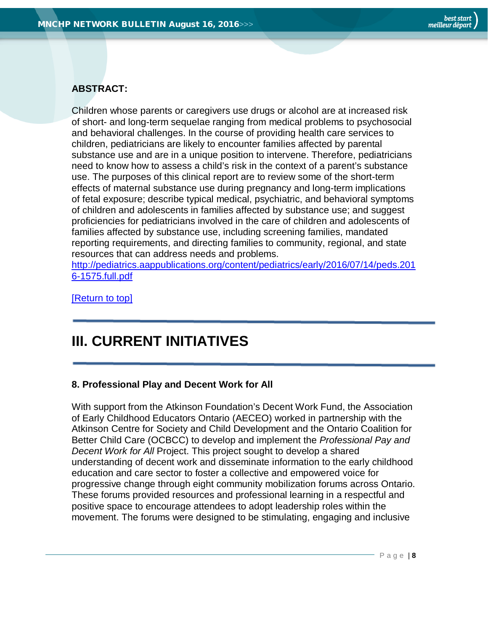## **ABSTRACT:**

Children whose parents or caregivers use drugs or alcohol are at increased risk of short- and long-term sequelae ranging from medical problems to psychosocial and behavioral challenges. In the course of providing health care services to children, pediatricians are likely to encounter families affected by parental substance use and are in a unique position to intervene. Therefore, pediatricians need to know how to assess a child's risk in the context of a parent's substance use. The purposes of this clinical report are to review some of the short-term effects of maternal substance use during pregnancy and long-term implications of fetal exposure; describe typical medical, psychiatric, and behavioral symptoms of children and adolescents in families affected by substance use; and suggest proficiencies for pediatricians involved in the care of children and adolescents of families affected by substance use, including screening families, mandated reporting requirements, and directing families to community, regional, and state resources that can address needs and problems.

[http://pediatrics.aappublications.org/content/pediatrics/early/2016/07/14/peds.201](http://pediatrics.aappublications.org/content/pediatrics/early/2016/07/14/peds.2016-1575.full.pdf) [6-1575.full.pdf](http://pediatrics.aappublications.org/content/pediatrics/early/2016/07/14/peds.2016-1575.full.pdf)

[\[Return to top\]](#page-0-0)

# <span id="page-7-0"></span>**III. CURRENT INITIATIVES**

### <span id="page-7-1"></span>**8. Professional Play and Decent Work for All**

With support from the Atkinson Foundation's Decent Work Fund, the Association of Early Childhood Educators Ontario (AECEO) worked in partnership with the Atkinson Centre for Society and Child Development and the Ontario Coalition for Better Child Care (OCBCC) to develop and implement the *Professional Pay and Decent Work for All* Project. This project sought to develop a shared understanding of decent work and disseminate information to the early childhood education and care sector to foster a collective and empowered voice for progressive change through eight community mobilization forums across Ontario. These forums provided resources and professional learning in a respectful and positive space to encourage attendees to adopt leadership roles within the movement. The forums were designed to be stimulating, engaging and inclusive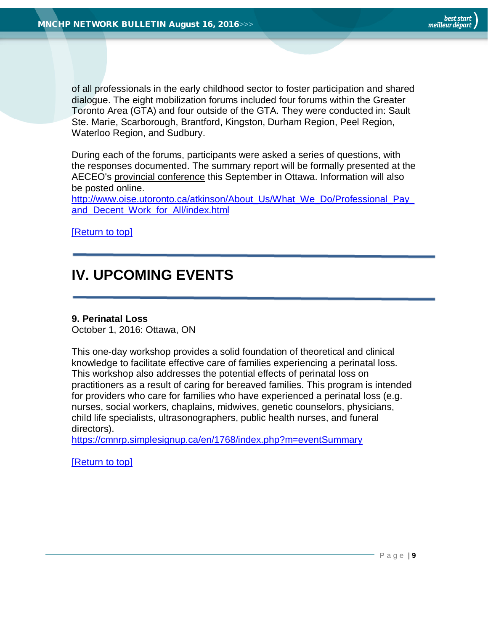of all professionals in the early childhood sector to foster participation and shared dialogue. The eight mobilization forums included four forums within the Greater Toronto Area (GTA) and four outside of the GTA. They were conducted in: Sault Ste. Marie, Scarborough, Brantford, Kingston, Durham Region, Peel Region, Waterloo Region, and Sudbury.

During each of the forums, participants were asked a series of questions, with the responses documented. The summary report will be formally presented at the AECEO's [provincial conference](http://utoronto.us9.list-manage.com/track/click?u=b873a1d1c0051c1402dce1477&id=ae35654553&e=b2219a925b) this September in Ottawa. Information will also be posted online.

[http://www.oise.utoronto.ca/atkinson/About\\_Us/What\\_We\\_Do/Professional\\_Pay\\_](http://www.oise.utoronto.ca/atkinson/About_Us/What_We_Do/Professional_Pay_and_Decent_Work_for_All/index.html) [and\\_Decent\\_Work\\_for\\_All/index.html](http://www.oise.utoronto.ca/atkinson/About_Us/What_We_Do/Professional_Pay_and_Decent_Work_for_All/index.html)

<span id="page-8-0"></span>[\[Return to top\]](#page-0-0)

# **IV. UPCOMING EVENTS**

### **9. Perinatal Loss**

October 1, 2016: Ottawa, ON

This one-day workshop provides a solid foundation of theoretical and clinical knowledge to facilitate effective care of families experiencing a perinatal loss. This workshop also addresses the potential effects of perinatal loss on practitioners as a result of caring for bereaved families. This program is intended for providers who care for families who have experienced a perinatal loss (e.g. nurses, social workers, chaplains, midwives, genetic counselors, physicians, child life specialists, ultrasonographers, public health nurses, and funeral directors).

<https://cmnrp.simplesignup.ca/en/1768/index.php?m=eventSummary>

[\[Return to top\]](#page-0-0)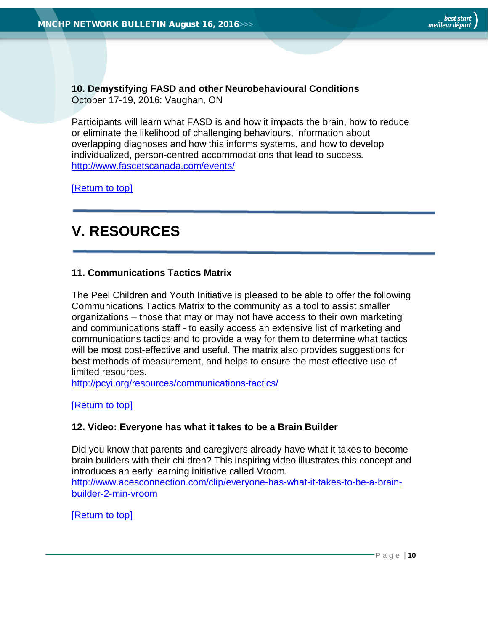<span id="page-9-0"></span>**10. Demystifying FASD and other Neurobehavioural Conditions** October 17-19, 2016: Vaughan, ON

Participants will learn what FASD is and how it impacts the brain, how to reduce or eliminate the likelihood of challenging behaviours, information about overlapping diagnoses and how this informs systems, and how to develop individualized, person-centred accommodations that lead to success. <http://www.fascetscanada.com/events/>

[\[Return to top\]](#page-0-0)

# <span id="page-9-1"></span>**V. RESOURCES**

### <span id="page-9-2"></span>**11. Communications Tactics Matrix**

The Peel Children and Youth Initiative is pleased to be able to offer the following Communications Tactics Matrix to the community as a tool to assist smaller organizations – those that may or may not have access to their own marketing and communications staff - to easily access an extensive list of marketing and communications tactics and to provide a way for them to determine what tactics will be most cost-effective and useful. The matrix also provides suggestions for best methods of measurement, and helps to ensure the most effective use of limited resources.

<http://pcyi.org/resources/communications-tactics/>

[\[Return to top\]](#page-0-0)

### <span id="page-9-3"></span>**12. Video: Everyone has what it takes to be a Brain Builder**

Did you know that parents and caregivers already have what it takes to become brain builders with their children? This inspiring video illustrates this concept and introduces an early learning initiative called Vroom.

[http://www.acesconnection.com/clip/everyone-has-what-it-takes-to-be-a-brain](http://www.acesconnection.com/clip/everyone-has-what-it-takes-to-be-a-brain-builder-2-min-vroom)[builder-2-min-vroom](http://www.acesconnection.com/clip/everyone-has-what-it-takes-to-be-a-brain-builder-2-min-vroom)

[\[Return to top\]](#page-0-0)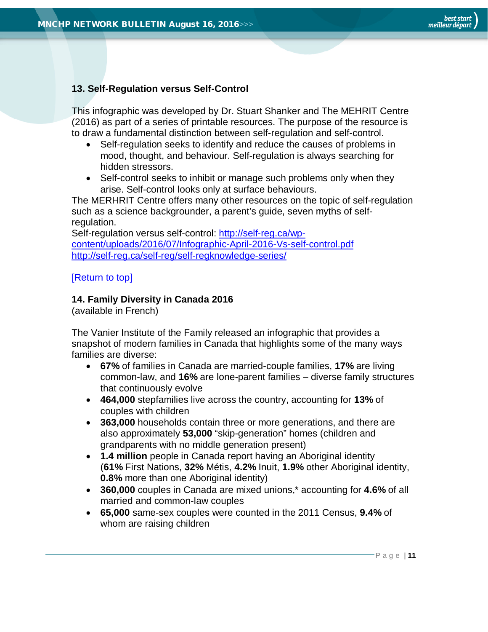## <span id="page-10-0"></span>**13. Self-Regulation versus Self-Control**

This infographic was developed by Dr. Stuart Shanker and The MEHRIT Centre (2016) as part of a series of printable resources. The purpose of the resource is to draw a fundamental distinction between self-regulation and self-control.

- Self-regulation seeks to identify and reduce the causes of problems in mood, thought, and behaviour. Self-regulation is always searching for hidden stressors.
- Self-control seeks to inhibit or manage such problems only when they arise. Self-control looks only at surface behaviours.

The MERHRIT Centre offers many other resources on the topic of self-regulation such as a science backgrounder, a parent's guide, seven myths of selfregulation.

Self-regulation versus self-control: [http://self-reg.ca/wp](http://self-reg.ca/wp-content/uploads/2016/07/Infographic-April-2016-Vs-self-control.pdf)[content/uploads/2016/07/Infographic-April-2016-Vs-self-control.pdf](http://self-reg.ca/wp-content/uploads/2016/07/Infographic-April-2016-Vs-self-control.pdf) <http://self-reg.ca/self-reg/self-regknowledge-series/>

### [\[Return](#page-0-0) to top]

## <span id="page-10-1"></span>**14. Family Diversity in Canada 2016**

(available in French)

The Vanier Institute of the Family released an infographic that provides a snapshot of modern families in Canada that highlights some of the many ways families are diverse:

- **67%** of families in Canada are married-couple families, **17%** are living common-law, and **16%** are lone-parent families – diverse family structures that continuously evolve
- **464,000** stepfamilies live across the country, accounting for **13%** of couples with children
- **363,000** households contain three or more generations, and there are also approximately **53,000** "skip-generation" homes (children and grandparents with no middle generation present)
- **1.4 million** people in Canada report having an Aboriginal identity (**61%** First Nations, **32%** Métis, **4.2%** Inuit, **1.9%** other Aboriginal identity, **0.8%** more than one Aboriginal identity)
- **360,000** couples in Canada are mixed unions,\* accounting for **4.6%** of all married and common-law couples
- **65,000** same-sex couples were counted in the 2011 Census, **9.4%** of whom are raising children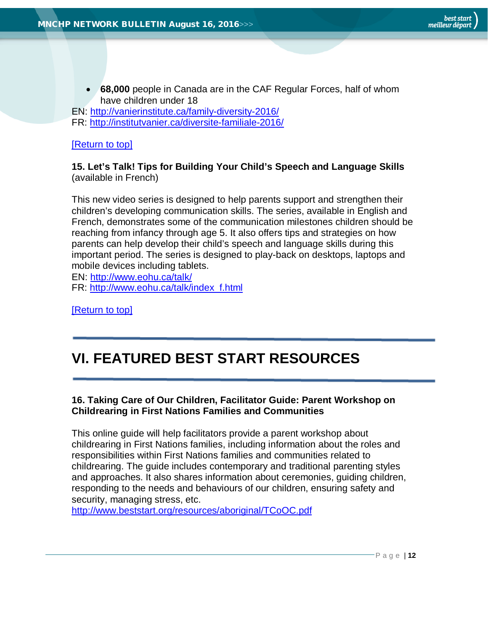• **68,000** people in Canada are in the CAF Regular Forces, half of whom have children under 18

EN:<http://vanierinstitute.ca/family-diversity-2016/> FR:<http://institutvanier.ca/diversite-familiale-2016/>

## [\[Return to top\]](#page-0-0)

<span id="page-11-0"></span>**15. Let's Talk! Tips for Building Your Child's Speech and Language Skills** (available in French)

This new video series is designed to help parents support and strengthen their children's developing communication skills. The series, available in English and French, demonstrates some of the communication milestones children should be reaching from infancy through age 5. It also offers tips and strategies on how parents can help develop their child's speech and language skills during this important period. The series is designed to play-back on desktops, laptops and mobile devices including tablets.

EN:<http://www.eohu.ca/talk/>

FR: [http://www.eohu.ca/talk/index\\_f.html](http://www.eohu.ca/talk/index_f.html)

[\[Return to top\]](#page-0-0)

# <span id="page-11-1"></span>**VI. FEATURED BEST START RESOURCES**

## <span id="page-11-2"></span>**16. Taking Care of Our Children, Facilitator Guide: Parent Workshop on Childrearing in First Nations Families and Communities**

This online guide will help facilitators provide a parent workshop about childrearing in First Nations families, including information about the roles and responsibilities within First Nations families and communities related to childrearing. The guide includes contemporary and traditional parenting styles and approaches. It also shares information about ceremonies, guiding children, responding to the needs and behaviours of our children, ensuring safety and security, managing stress, etc.

<http://www.beststart.org/resources/aboriginal/TCoOC.pdf>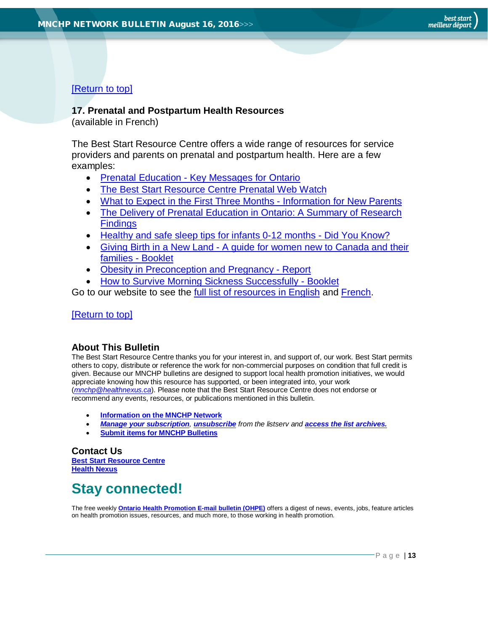# [\[Return to top\]](#page-0-0)

### <span id="page-12-1"></span>**17. Prenatal and Postpartum Health Resources**

(available in French)

The Best Start Resource Centre offers a wide range of resources for service providers and parents on prenatal and postpartum health. Here are a few examples:

- Prenatal Education [Key Messages for Ontario](http://www.beststart.org/resources/preconception/BSRC_prenatal_ed_flyer_bilingual.pdf)
- [The Best Start Resource Centre Prenatal Web Watch](http://www.netvibes.com/bsrcprenatal#General)
- [What to Expect in the First Three Months -](http://www.beststart.org/resources/hlthy_chld_dev/K82-E-hospitalhandout.pdf) Information for New Parents
- [The Delivery of Prenatal Education in Ontario: A Summary of Research](http://www.beststart.org/resources/rep_health/BSRC_Prenatal_Summary_rev_2015.pdf)  **[Findings](http://www.beststart.org/resources/rep_health/BSRC_Prenatal_Summary_rev_2015.pdf)**
- [Healthy and safe sleep tips for infants 0-12 months -](http://en.beststart.org/resources-and-research/healthy-and-safe-sleep-tips-infants-0-12-months) Did You Know?
- Giving Birth in a New Land [A guide for women new to Canada and their](http://www.beststart.org/resources/rep_health/Revisions_2014/English/Giving%20Birth_English_Complete_2014.pdf)  [families -](http://www.beststart.org/resources/rep_health/Revisions_2014/English/Giving%20Birth_English_Complete_2014.pdf) Booklet
- [Obesity in Preconception and Pregnancy -](http://www.beststart.org/resources/preconception/BSRC_obesity_report_April2014.pdf) Report
- [How to Survive Morning Sickness Successfully -](http://www.beststart.org/resources/rep_health/BSRC_morning_sickness_EN.pdf) Booklet

Go to our website to see the [full list of resources in English](http://www.beststart.org/cgi-bin/commerce.cgi?search=action&category=E00E&advanced=yes&sortkey=sku&sortorder=descending) and [French.](http://www.beststart.org/cgi-bin/commerce.cgi?search=action&category=E00F&advanced=yes&sortkey=sku&sortorder=descending)

#### [\[Return to top\]](#page-0-0)

## <span id="page-12-0"></span>**About This Bulletin**

The Best Start Resource Centre thanks you for your interest in, and support of, our work. Best Start permits others to copy, distribute or reference the work for non-commercial purposes on condition that full credit is given. Because our MNCHP bulletins are designed to support local health promotion initiatives, we would appreciate knowing how this resource has supported, or been integrated into, your work (*[mnchp@healthnexus.ca](mailto:mnchp@healthnexus.ca)*). Please note that the Best Start Resource Centre does not endorse or recommend any events, resources, or publications mentioned in this bulletin.

- **[Information on the MNCHP Network](http://www.beststart.org/services/information.html)**
- *[Manage your](http://en.beststart.org/services/information-exchange) subscription, [unsubscribe](mailto:mnchp@healthnexus.ca?subject=Unsubscribe) from the listserv and [access the list archives.](http://en.beststart.org/services/information-exchange)*
- **[Submit items for MNCHP Bulletins](mailto:mnchp@healthnexus.ca?subject=Submit%20item%20for%20MNCHP%20bulletin)**

### **Contact Us**

**[Best Start Resource Centre](http://beststart.org/index_eng.html) [Health Nexus](http://en.healthnexus.ca/)**

# **Stay connected!**

The free weekly **[Ontario Health Promotion E-mail bulletin \(OHPE\)](http://www.ohpe.ca/)** offers a digest of news, events, jobs, feature articles on health promotion issues, resources, and much more, to those working in health promotion.